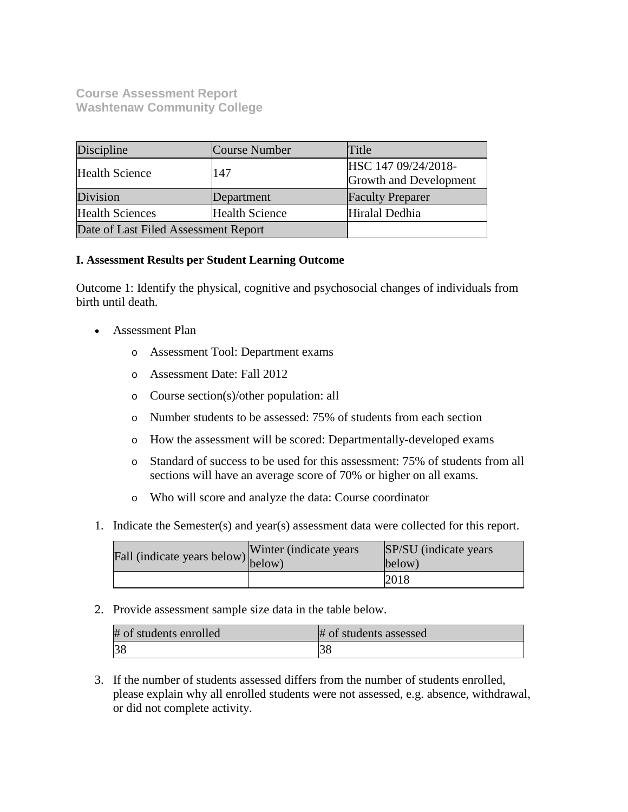# **Course Assessment Report Washtenaw Community College**

| Discipline                           | Course Number                                        | Title                   |
|--------------------------------------|------------------------------------------------------|-------------------------|
| <b>Health Science</b>                | HSC 147 09/24/2018-<br>147<br>Growth and Development |                         |
| Division                             | Department                                           | <b>Faculty Preparer</b> |
| <b>Health Sciences</b>               | <b>Health Science</b>                                | Hiralal Dedhia          |
| Date of Last Filed Assessment Report |                                                      |                         |

## **I. Assessment Results per Student Learning Outcome**

Outcome 1: Identify the physical, cognitive and psychosocial changes of individuals from birth until death.

- Assessment Plan
	- o Assessment Tool: Department exams
	- o Assessment Date: Fall 2012
	- o Course section(s)/other population: all
	- o Number students to be assessed: 75% of students from each section
	- o How the assessment will be scored: Departmentally-developed exams
	- o Standard of success to be used for this assessment: 75% of students from all sections will have an average score of 70% or higher on all exams.
	- o Who will score and analyze the data: Course coordinator
- 1. Indicate the Semester(s) and year(s) assessment data were collected for this report.

| Fall (indicate years below) below) | Winter (indicate years) | SP/SU (indicate years)<br>below) |
|------------------------------------|-------------------------|----------------------------------|
|                                    |                         | 2018                             |

2. Provide assessment sample size data in the table below.

| # of students enrolled | # of students assessed |
|------------------------|------------------------|
|                        |                        |

3. If the number of students assessed differs from the number of students enrolled, please explain why all enrolled students were not assessed, e.g. absence, withdrawal, or did not complete activity.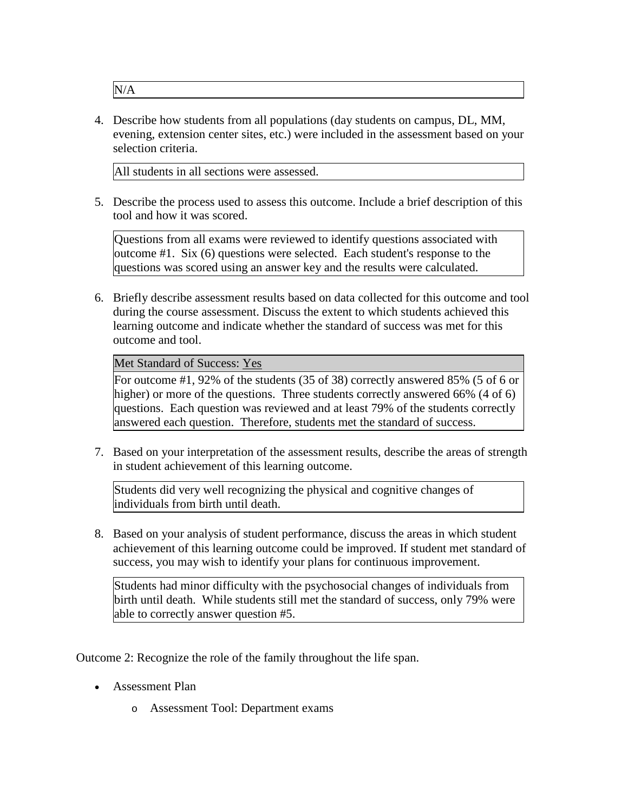N/A

4. Describe how students from all populations (day students on campus, DL, MM, evening, extension center sites, etc.) were included in the assessment based on your selection criteria.

All students in all sections were assessed.

5. Describe the process used to assess this outcome. Include a brief description of this tool and how it was scored.

Questions from all exams were reviewed to identify questions associated with outcome #1. Six (6) questions were selected. Each student's response to the questions was scored using an answer key and the results were calculated.

6. Briefly describe assessment results based on data collected for this outcome and tool during the course assessment. Discuss the extent to which students achieved this learning outcome and indicate whether the standard of success was met for this outcome and tool.

Met Standard of Success: Yes

For outcome #1, 92% of the students (35 of 38) correctly answered 85% (5 of 6 or higher) or more of the questions. Three students correctly answered 66% (4 of 6) questions. Each question was reviewed and at least 79% of the students correctly answered each question. Therefore, students met the standard of success.

7. Based on your interpretation of the assessment results, describe the areas of strength in student achievement of this learning outcome.

Students did very well recognizing the physical and cognitive changes of individuals from birth until death.

8. Based on your analysis of student performance, discuss the areas in which student achievement of this learning outcome could be improved. If student met standard of success, you may wish to identify your plans for continuous improvement.

Students had minor difficulty with the psychosocial changes of individuals from birth until death. While students still met the standard of success, only 79% were able to correctly answer question #5.

Outcome 2: Recognize the role of the family throughout the life span.

- Assessment Plan
	- o Assessment Tool: Department exams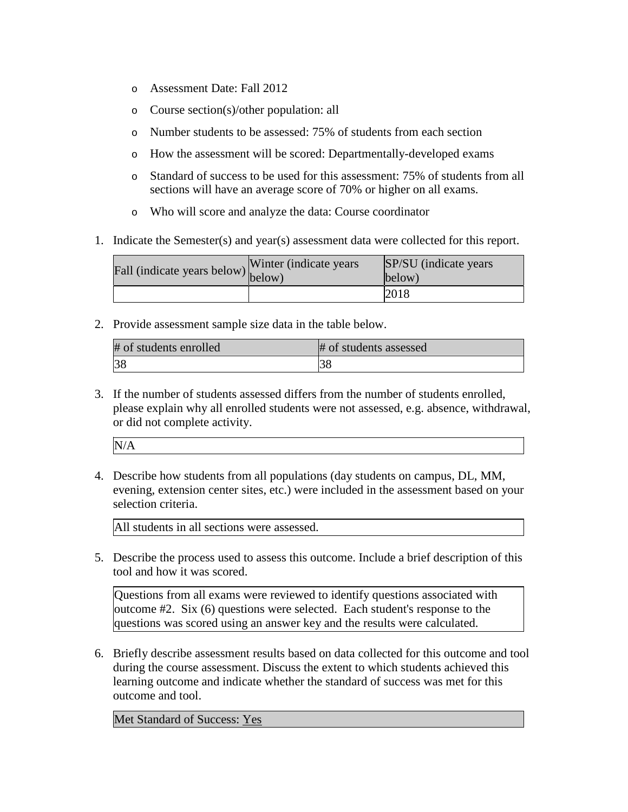- o Assessment Date: Fall 2012
- o Course section(s)/other population: all
- o Number students to be assessed: 75% of students from each section
- o How the assessment will be scored: Departmentally-developed exams
- o Standard of success to be used for this assessment: 75% of students from all sections will have an average score of 70% or higher on all exams.
- o Who will score and analyze the data: Course coordinator
- 1. Indicate the Semester(s) and year(s) assessment data were collected for this report.

| Fall (indicate years below) $\begin{bmatrix} w \text{ line} \\ \text{below} \end{bmatrix}$ | Winter (indicate years) | SP/SU (indicate years)<br>below) |
|--------------------------------------------------------------------------------------------|-------------------------|----------------------------------|
|                                                                                            |                         | 2018                             |

2. Provide assessment sample size data in the table below.

| # of students enrolled | # of students assessed |
|------------------------|------------------------|
| 38                     | ι3δ                    |

3. If the number of students assessed differs from the number of students enrolled, please explain why all enrolled students were not assessed, e.g. absence, withdrawal, or did not complete activity.

4. Describe how students from all populations (day students on campus, DL, MM, evening, extension center sites, etc.) were included in the assessment based on your selection criteria.

All students in all sections were assessed.

5. Describe the process used to assess this outcome. Include a brief description of this tool and how it was scored.

Questions from all exams were reviewed to identify questions associated with outcome #2. Six (6) questions were selected. Each student's response to the questions was scored using an answer key and the results were calculated.

6. Briefly describe assessment results based on data collected for this outcome and tool during the course assessment. Discuss the extent to which students achieved this learning outcome and indicate whether the standard of success was met for this outcome and tool.

Met Standard of Success: Yes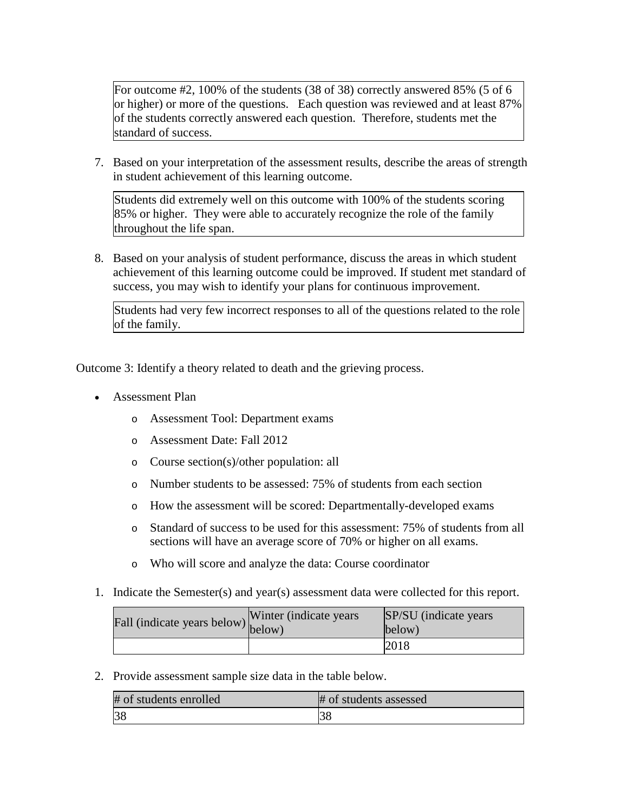For outcome #2, 100% of the students (38 of 38) correctly answered 85% (5 of 6 or higher) or more of the questions. Each question was reviewed and at least 87% of the students correctly answered each question. Therefore, students met the standard of success.

7. Based on your interpretation of the assessment results, describe the areas of strength in student achievement of this learning outcome.

Students did extremely well on this outcome with 100% of the students scoring 85% or higher. They were able to accurately recognize the role of the family throughout the life span.

8. Based on your analysis of student performance, discuss the areas in which student achievement of this learning outcome could be improved. If student met standard of success, you may wish to identify your plans for continuous improvement.

Students had very few incorrect responses to all of the questions related to the role of the family.

Outcome 3: Identify a theory related to death and the grieving process.

- Assessment Plan
	- o Assessment Tool: Department exams
	- o Assessment Date: Fall 2012
	- o Course section(s)/other population: all
	- o Number students to be assessed: 75% of students from each section
	- o How the assessment will be scored: Departmentally-developed exams
	- o Standard of success to be used for this assessment: 75% of students from all sections will have an average score of 70% or higher on all exams.
	- o Who will score and analyze the data: Course coordinator
- 1. Indicate the Semester(s) and year(s) assessment data were collected for this report.

| Fall (indicate years below) below) | Winter (indicate years) | SP/SU (indicate years)<br>below) |
|------------------------------------|-------------------------|----------------------------------|
|                                    |                         | 2018                             |

2. Provide assessment sample size data in the table below.

| # of students enrolled | # of students assessed |
|------------------------|------------------------|
|                        |                        |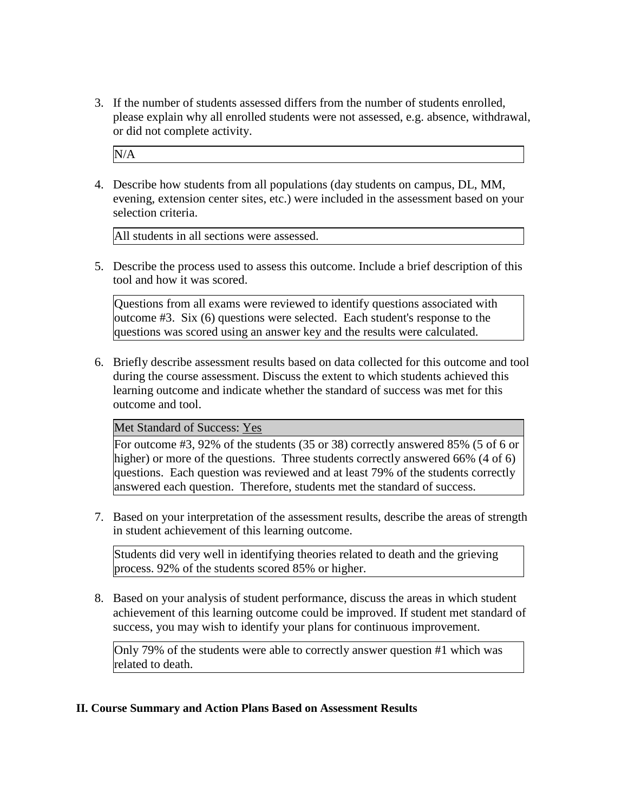3. If the number of students assessed differs from the number of students enrolled, please explain why all enrolled students were not assessed, e.g. absence, withdrawal, or did not complete activity.

N/A

4. Describe how students from all populations (day students on campus, DL, MM, evening, extension center sites, etc.) were included in the assessment based on your selection criteria.

All students in all sections were assessed.

5. Describe the process used to assess this outcome. Include a brief description of this tool and how it was scored.

Questions from all exams were reviewed to identify questions associated with outcome #3. Six (6) questions were selected. Each student's response to the questions was scored using an answer key and the results were calculated.

6. Briefly describe assessment results based on data collected for this outcome and tool during the course assessment. Discuss the extent to which students achieved this learning outcome and indicate whether the standard of success was met for this outcome and tool.

## Met Standard of Success: Yes

For outcome #3, 92% of the students (35 or 38) correctly answered 85% (5 of 6 or higher) or more of the questions. Three students correctly answered 66% (4 of 6) questions. Each question was reviewed and at least 79% of the students correctly answered each question. Therefore, students met the standard of success.

7. Based on your interpretation of the assessment results, describe the areas of strength in student achievement of this learning outcome.

Students did very well in identifying theories related to death and the grieving process. 92% of the students scored 85% or higher.

8. Based on your analysis of student performance, discuss the areas in which student achievement of this learning outcome could be improved. If student met standard of success, you may wish to identify your plans for continuous improvement.

Only 79% of the students were able to correctly answer question #1 which was related to death.

## **II. Course Summary and Action Plans Based on Assessment Results**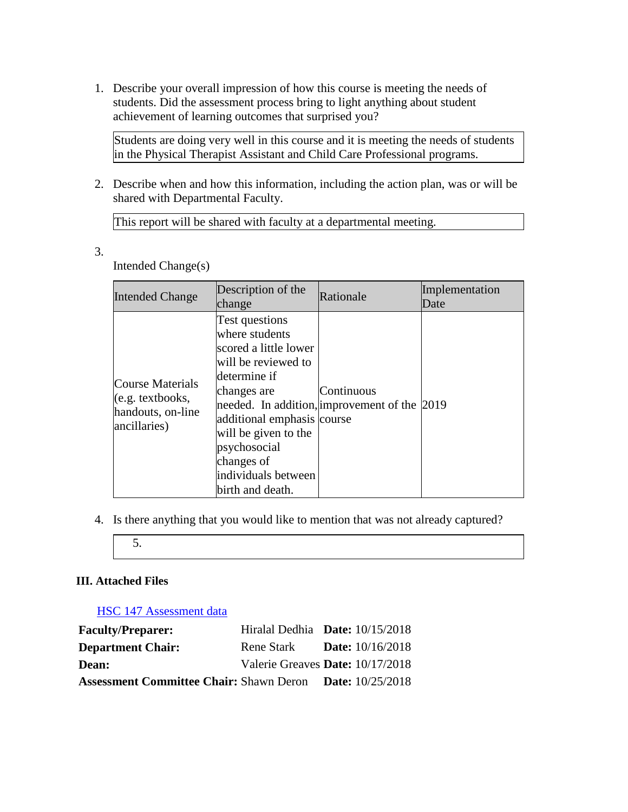1. Describe your overall impression of how this course is meeting the needs of students. Did the assessment process bring to light anything about student achievement of learning outcomes that surprised you?

Students are doing very well in this course and it is meeting the needs of students in the Physical Therapist Assistant and Child Care Professional programs.

2. Describe when and how this information, including the action plan, was or will be shared with Departmental Faculty.

This report will be shared with faculty at a departmental meeting.

3.

Intended Change(s)

| <b>Intended Change</b>                                                                    | Description of the<br>change                                                                                                                                                                                                                   | Rationale                                                  | Implementation<br>Date |
|-------------------------------------------------------------------------------------------|------------------------------------------------------------------------------------------------------------------------------------------------------------------------------------------------------------------------------------------------|------------------------------------------------------------|------------------------|
| <b>Course Materials</b><br>$(e.g. \text{textbooks},$<br>handouts, on-line<br>ancillaries) | Test questions<br>where students<br>scored a little lower<br>will be reviewed to<br>determine if<br>changes are<br>additional emphasis course<br>will be given to the<br>psychosocial<br>changes of<br>individuals between<br>birth and death. | Continuous<br>needed. In addition, improvement of the 2019 |                        |

- 4. Is there anything that you would like to mention that was not already captured?
	- 5.

# **III. Attached Files**

HSC 147 Assessment data

| <b>Faculty/Preparer:</b>                                        | Hiralal Dedhia Date: $10/15/2018$ |                           |
|-----------------------------------------------------------------|-----------------------------------|---------------------------|
| <b>Department Chair:</b>                                        | Rene Stark                        | <b>Date:</b> $10/16/2018$ |
| <b>Dean:</b>                                                    | Valerie Greaves Date: 10/17/2018  |                           |
| <b>Assessment Committee Chair: Shawn Deron Date: 10/25/2018</b> |                                   |                           |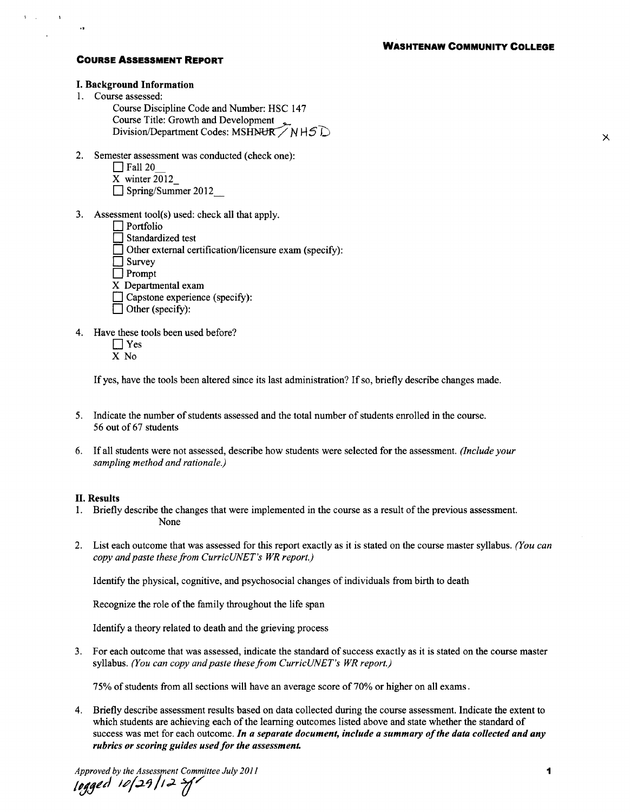$\boldsymbol{\times}$ 

#### **COURSE ASSESSMENT REPORT**

### I. Background Information

1. Course assessed:

 $\mathbf{V}=\mathbf{V}$ 

 $\overline{\phantom{a}}$ 

Course Discipline Code and Number: HSC 147 Course Title: Growth and Development Division/Department Codes: MSHNUR / N H 5  $D$ 

2. Semester assessment was conducted (check one):

 $\Box$  Fall 20

X winter 2012

Spring/Summer 2012

- 3. Assessment tool(s) used: check all that apply.
	- $\Box$  Portfolio  $\Box$  Standardized test  $\Box$  Other external certification/licensure exam (specify):  $\Box$  Survey  $\Box$  Prompt X Departmental exam  $\Box$  Capstone experience (specify):  $\Box$  Other (specify):
- 4. Have these tools been used before?
	- $\Box$  Yes
	- X No

If yes, have the tools been altered since its last administration? If so, briefly describe changes made.

- 5. Indicate the number of students assessed and the total number of students enrolled in the course. 56 out of 67 students
- 6. If all students were not assessed, describe how students were selected for the assessment. *(Include your sampling method and rationale.)*

#### II. Results

- I. Briefly describe the changes that were implemented in the course as a result of the previous assessment. None
- 2. List each outcome that was assessed for this report exactly as it is stated on the course master syllabus. *(You can copy and paste these from CurricUNET's WR report.)*

Identify the physical, cognitive, and psychosocial changes of individuals from birth to death

Recognize the role of the family throughout the life span

Identify a theory related to death and the grieving process

3. For each outcome that was assessed, indicate the standard of success exactly as it is stated on the course master syllabus. *(You can copy and paste these from CurricUNET's WR report.)* 

7 S% of students from all sections will have an average score of 70% or higher on all exams.

4. Briefly describe assessment results based on data collected during the course assessment. Indicate the extent to which students are achieving each of the learning outcomes listed above and state whether the standard of success was met for each outcome. *In a separate document, include a summary of the data collected and any rubrics or scoring guides used for the assessment.* 

Approved by the Assessment Committee July 2011<br>**[ogged** 10**/29/**12 *H*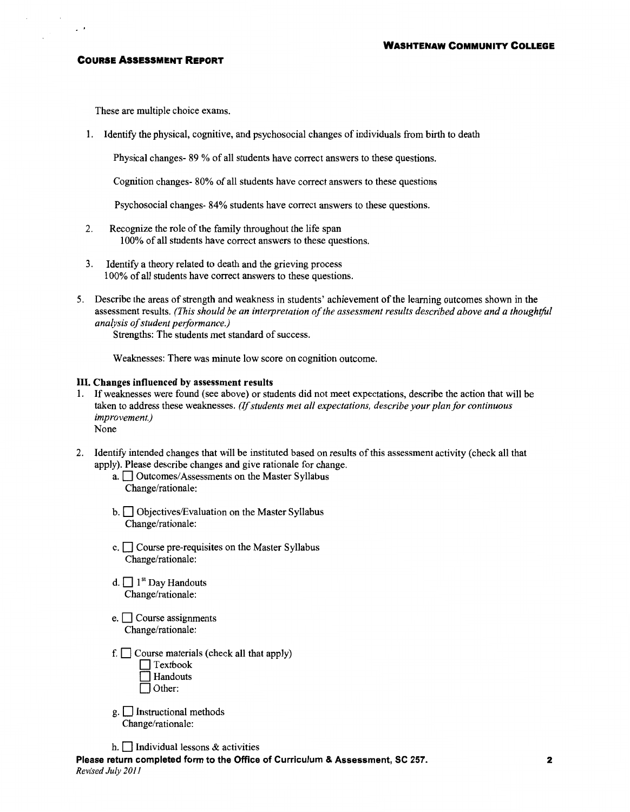#### **COURSE ASSESSMENT REPORT**

 $\mathcal{L}^{\pm}$ 

These are multiple choice exams.

1. Identify the physical, cognitive, and psychosocial changes of individuals from birth to death

Physical changes- 89 % of all students have correct answers to these questions.

Cognition changes- 80% of all students have correct answers to these questions

Psychosocial changes- 84% students have correct answers to these questions.

- 2. Recognize the role of the family throughout the life span 100% of all students have correct answers to these questions.
- 3. Identify a theory related to death and the grieving process 1 00% of all students have correct answers to these questions.
- 5. Describe the areas of strength and weakness in students' achievement ofthe learning outcomes shown in the assessment results. *(This should be an interpretation of the assessment results described above and a thoughtful analysis of student performance.)*

Strengths: The students met standard of success.

Weaknesses: There was minute low score on cognition outcome.

#### **III. Changes influenced by assessment results**

- 1. If weaknesses were found (see above) or students did not meet expectations, describe the action that will be taken to address these weaknesses. *(If students met all expectations, describe your plan for continuous improvement.)*  None
- 2. Identify intended changes that will be instituted based on results of this assessment activity (check all that apply). Please describe changes and give rationale for change.
	- a. **D** Outcomes/Assessments on the Master Syllabus Change/rationale:
	- $b. \Box$  Objectives/Evaluation on the Master Syllabus Change/rationale:
	- $c.$   $\Box$  Course pre-requisites on the Master Syllabus Change/rationale:
	- d.  $\Box$  1<sup>st</sup> Day Handouts Change/rationale:
	- e.  $\Box$  Course assignments Change/rationale:
	- f.  $\Box$  Course materials (check all that apply)  $\Box$  Textbook **Handouts** Other:
	- g. **D** Instructional methods Change/rationale:
	- h.  $\Box$  Individual lessons & activities

**Please return completed form to the Office of Curriculum & Assessment, SC 257.**  *Revised July 2011*